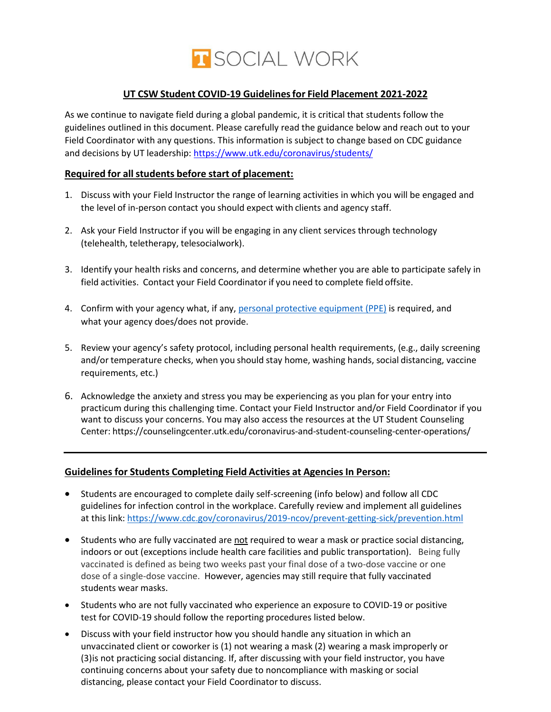

### **UT CSW Student COVID-19 Guidelinesfor Field Placement 2021-2022**

As we continue to navigate field during a global pandemic, it is critical that students follow the guidelines outlined in this document. Please carefully read the guidance below and reach out to your Field Coordinator with any questions. This information is subject to change based on CDC guidance and decisions by UT leadership: <https://www.utk.edu/coronavirus/students/>

#### **Required for allstudents before start of placement:**

- 1. Discuss with your Field Instructor the range of learning activities in which you will be engaged and the level of in-person contact you should expect with clients and agency staff.
- 2. Ask your Field Instructor if you will be engaging in any client services through technology (telehealth, teletherapy, telesocialwork).
- 3. Identify your health risks and concerns, and determine whether you are able to participate safely in field activities. Contact your Field Coordinator if you need to complete field offsite.
- 4. Confirm with your agency what, if any, [personal protective equipment \(PPE\)](https://medlineplus.gov/ency/patientinstructions/000447.htm) is required, and what your agency does/does not provide.
- 5. Review your agency's safety protocol, including personal health requirements, (e.g., daily screening and/or temperature checks, when you should stay home, washing hands, social distancing, vaccine requirements, etc.)
- 6. Acknowledge the anxiety and stress you may be experiencing as you plan for your entry into practicum during this challenging time. Contact your Field Instructor and/or Field Coordinator if you want to discuss your concerns. You may also access the resources at the UT Student Counseling Center: <https://counselingcenter.utk.edu/coronavirus-and-student-counseling-center-operations/>

#### **Guidelines for Students Completing Field Activities at Agencies In Person:**

- Students are encouraged to complete daily self-screening (info below) and follow all CDC guidelines for infection control in the workplace. Carefully review and implement all guidelines at this link: <https://www.cdc.gov/coronavirus/2019-ncov/prevent-getting-sick/prevention.html>
- Students who are fully vaccinated are not required to wear a mask or practice social distancing, indoors or out (exceptions include health care facilities and public transportation). Being fully vaccinated is defined as being two weeks past your final dose of a two-dose vaccine or one dose of a single-dose vaccine. However, agencies may still require that fully vaccinated students wear masks.
- Students who are not fully vaccinated who experience an exposure to COVID-19 or positive test for COVID-19 should follow the reporting procedures listed below.
- Discuss with your field instructor how you should handle any situation in which an unvaccinated client or coworker is (1) not wearing a mask (2) wearing a mask improperly or (3)is not practicing social distancing. If, after discussing with your field instructor, you have continuing concerns about your safety due to noncompliance with masking or social distancing, please contact your Field Coordinator to discuss.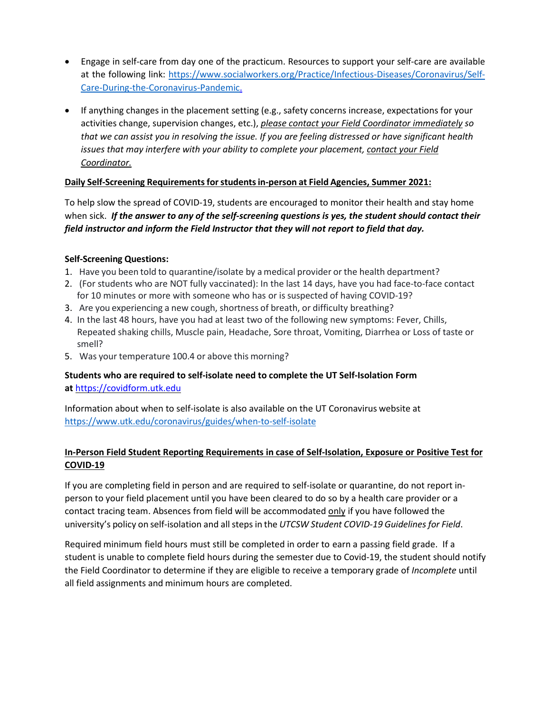- Engage in self-care from day one of the practicum. Resources to support your self-care are available at the following link: [https://www.socialworkers.org/Practice/Infectious-Diseases/Coronavirus/Self-](https://www.socialworkers.org/Practice/Infectious-Diseases/Coronavirus/Self-Care-During-the-Coronavirus-Pandemic)[Care-During-the-Coronavirus-Pandemic.](https://www.socialworkers.org/Practice/Infectious-Diseases/Coronavirus/Self-Care-During-the-Coronavirus-Pandemic)
- If anything changes in the placement setting (e.g., safety concerns increase, expectations for your activities change, supervision changes, etc.), *please contact your Field Coordinator immediately so that we can assist you in resolving the issue. If you are feeling distressed or have significant health issues that may interfere with your ability to complete your placement, contact your Field Coordinator.*

### **Daily Self-Screening Requirementsforstudentsin-person at Field Agencies, Summer 2021:**

To help slow the spread of COVID-19, students are encouraged to monitor their health and stay home when sick. *If the answer to any of the self-screening questions is yes, the student should contact their field instructor and inform the Field Instructor that they will not report to field that day.*

### **Self-Screening Questions:**

- 1. Have you been told to quarantine/isolate by a medical provider or the health department?
- 2. (For students who are NOT fully vaccinated): In the last 14 days, have you had face-to-face contact for 10 minutes or more with someone who has or is suspected of having COVID-19?
- 3. Are you experiencing a new cough, shortness of breath, or difficulty breathing?
- 4. In the last 48 hours, have you had at least two of the following new symptoms: Fever, Chills, Repeated shaking chills, Muscle pain, Headache, Sore throat, Vomiting, Diarrhea or Loss of taste or smell?
- 5. Was your temperature 100.4 or above this morning?

**Students who are required to self-isolate need to complete the UT Self-Isolation Form at** [https://covidform.utk.edu](https://covidform.utk.edu/)

Information about when to self-isolate is also available on the UT Coronavirus website at <https://www.utk.edu/coronavirus/guides/when-to-self-isolate>

## **In-Person Field Student Reporting Requirements in case of Self-Isolation, Exposure or Positive Test for COVID-19**

If you are completing field in person and are required to self-isolate or quarantine, do not report inperson to your field placement until you have been cleared to do so by a health care provider or a contact tracing team. Absences from field will be accommodated only if you have followed the university's policy on self-isolation and allsteps in the *UTCSW Student COVID-19 Guidelines for Field*.

Required minimum field hours must still be completed in order to earn a passing field grade. If a student is unable to complete field hours during the semester due to Covid-19, the student should notify the Field Coordinator to determine if they are eligible to receive a temporary grade of *Incomplete* until all field assignments and minimum hours are completed.